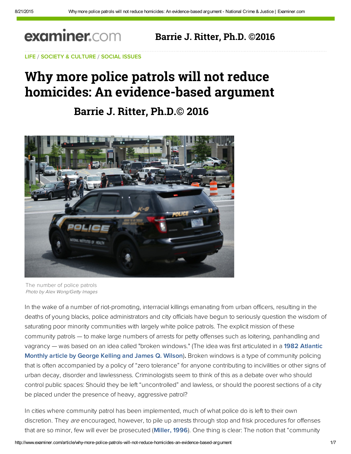# **examiner.com**

**Barrie J. Ritter, Ph.D. ©2016**

LIFE / SOCIETY & CULTURE / SOCIAL ISSUES

## Why more police patrols will not reduce homicides: An evidence-based argument

**Barrie J. Ritter, Ph.D.© 2016**



The number of police patrols Photo by Alex Wong/Getty Images

In the wake of a number of riot-promoting, interracial killings emanating from urban officers, resulting in the deaths of young blacks, police administrators and city officials have begun to seriously question the wisdom of saturating poor minority communities with largely white police patrols. The explicit mission of these community patrols — to make large numbers of arrests for petty offenses such as loitering, panhandling and [vagrancy — was based on an idea called "broken windows." \(The idea was first articulated in a 1982 Atlantic](http://theatln.tc/1TXR8Gc) Monthly article by George Kelling and James Q. Wilson). Broken windows is a type of community policing that is often accompanied by a policy of "zero tolerance" for anyone contributing to incivilities or other signs of urban decay, disorder and lawlessness. Criminologists seem to think of this as a debate over who should control public spaces: Should they be left "uncontrolled" and lawless, or should the poorest sections of a city be placed under the presence of heavy, aggressive patrol?

In cities where community patrol has been implemented, much of what police do is left to their own discretion. They are encouraged, however, to pile up arrests through stop and frisk procedures for offenses that are so minor, few will ever be prosecuted ([Miller, 1996\)](http://bit.ly/1IsQpuC). One thing is clear: The notion that "community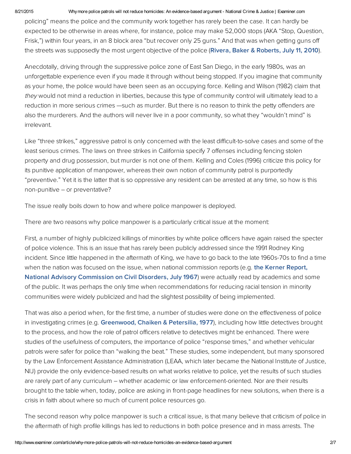#### 8/21/2015 Whymore police patrols will not reduce homicides: An evidence-based argument - National Crime & Justice | Examiner.com

policing" means the police and the community work together has rarely been the case. It can hardly be expected to be otherwise in areas where, for instance, police may make 52,000 stops (AKA "Stop, Question, Frisk,") within four years, in an 8 block area "but recover only 25 guns." And that was when getting guns off the streets was supposedly the most urgent objective of the police ([Rivera](http://topics.nytimes.com/top/reference/timestopics/people/r/ray_rivera/index.html)[,](http://nyti.ms/1JEb7lZ) [Baker](http://topics.nytimes.com/top/reference/timestopics/people/b/al_baker/index.html) [&](http://nyti.ms/1JEb7lZ) [Roberts](http://topics.nytimes.com/top/reference/timestopics/people/r/janet_roberts/index.html), July 11, [2010\)](http://nyti.ms/1JEb7lZ).

Anecdotally, driving through the suppressive police zone of East San Diego, in the early 1980s, was an unforgettable experience even if you made it through without being stopped. If you imagine that community as your home, the police would have been seen as an occupying force. Kelling and Wilson (1982) claim that they would not mind a reduction in liberties, because this type of community control will ultimately lead to a reduction in more serious crimes —such as murder. But there is no reason to think the petty offenders are also the murderers. And the authors will never live in a poor community, so what they "wouldn't mind" is irrelevant.

Like "three strikes," aggressive patrol is only concerned with the least difficult-to-solve cases and some of the least serious crimes. The laws on three strikes in California specify 7 offenses including fencing stolen property and drug possession, but murder is not one of them. Kelling and Coles (1996) criticize this policy for its punitive application of manpower, whereas their own notion of community patrol is purportedly "preventive." Yet it is the latter that is so oppressive any resident can be arrested at any time, so how is this non-punitive – or preventative?

The issue really boils down to how and where police manpower is deployed.

There are two reasons why police manpower is a particularly critical issue at the moment:

First, a number of highly publicized killings of minorities by white police officers have again raised the specter of police violence. This is an issue that has rarely been publicly addressed since the 1991 Rodney King incident. Since little happened in the aftermath of King, we have to go back to the late 1960s-70s to find a time when the nation was focused on the issue, when national commission reports (e.g. the Kerner Report, National Advisory [Commission](http://bit.ly/1LIPeq5) on Civil Disorders, July 1967) were actually read by academics and some of the public. It was perhaps the only time when recommendations for reducing racial tension in minority communities were widely publicized and had the slightest possibility of being implemented.

That was also a period when, for the first time, a number of studies were done on the effectiveness of police in investigating crimes (e.g. [Greenwood,](http://bit.ly/1HP9fbK) Chaiken & Petersilia, 1977), including how little detectives brought to the process, and how the role of patrol officers relative to detectives might be enhanced. There were studies of the usefulness of computers, the importance of police "response times," and whether vehicular patrols were safer for police than "walking the beat." These studies, some independent, but many sponsored by the Law Enforcement Assistance Administration (LEAA, which later became the National Institute of Justice, NIJ) provide the only evidence-based results on what works relative to police, yet the results of such studies are rarely part of any curriculum – whether academic or law enforcement-oriented. Nor are their results brought to the table when, today, police are asking in front-page headlines for new solutions, when there is a crisis in faith about where so much of current police resources go.

The second reason why police manpower is such a critical issue, is that many believe that criticism of police in the aftermath of high profile killings has led to reductions in both police presence and in mass arrests. The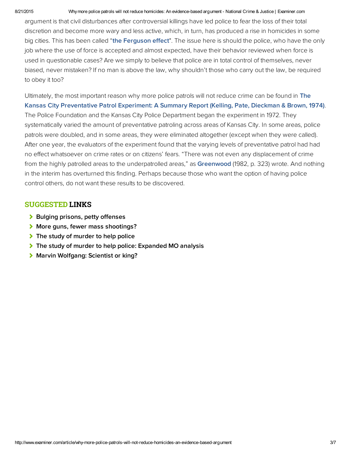#### 8/21/2015 Why more police patrols will not reduce homicides: An evidence-based argument - National Crime & Justice | Examiner.com

argument is that civil disturbances after controversial killings have led police to fear the loss of their total discretion and become more wary and less active, which, in turn, has produced a rise in homicides in some big cities. This has been called "[the Ferguson effect](http://on.wsj.com/1SGGS2u)". The issue here is should the police, who have the only job where the use of force is accepted and almost expected, have their behavior reviewed when force is used in questionable cases? Are we simply to believe that police are in total control of themselves, never biased, never mistaken? If no man is above the law, why shouldn't those who carry out the law, be required to obey it too?

Ultimately, the most important reason why more police patrols will not reduce crime can be found in The [Kansas City Preventative Patrol Experiment: A Summary Report \(Kelling, Pate, Dieckman & Brown, 1974\).](https://www.policefoundation.org/projects/the-kansas-city-preventive-patrol-experiment/) The Police Foundation and the Kansas City Police Department began the experiment in 1972. They systematically varied the amount of preventative patroling across areas of Kansas City. In some areas, police patrols were doubled, and in some areas, they were eliminated altogether (except when they were called). After one year, the evaluators of the experiment found that the varying levels of preventative patrol had had no effect whatsoever on crime rates or on citizens' fears. "There was not even any displacement of crime from the highly patrolled areas to the underpatrolled areas," as [Greenwood](http://bit.ly/1HP9fbK) (1982, p. 323) wrote. And nothing in the interim has overturned this finding. Perhaps because those who want the option of having police control others, do not want these results to be discovered.

### SUGGESTED LINKS

- > [Bulging prisons, petty offenses](http://www.ritterhomicideresearch.com/articles/Bulging-prisons_petty-offenses.pdf)
- **[More guns, fewer mass shootings?](http://www.ritterhomicideresearch.com/articles/More_guns.pdf)**
- $\blacktriangleright$  [The study of murder to help police](http://www.ritterhomicideresearch.com/articles/The-study-of-murder-to-help-police.pdf)
- [The study of murder to help police: Expanded MO analysis](http://www.ritterhomicideresearch.com/articles/The-study-of-murder-to-help-police_Expanded-MO-analysis.pdf)
- **[Marvin Wolfgang: Scientist or king?](http://www.ritterhomicideresearch.com/articles/Marvin-Wolfgang.pdf)**